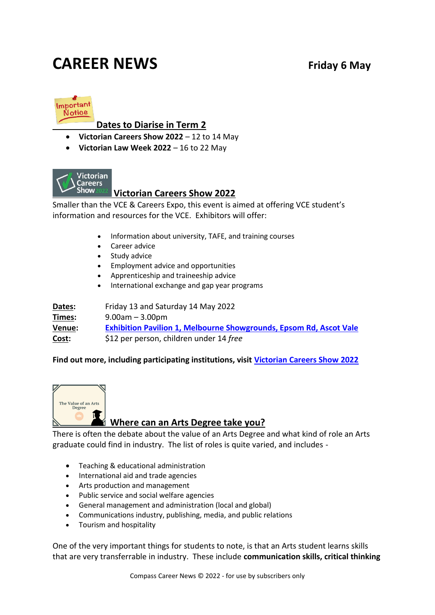## **CAREER NEWS** Friday 6 May



#### **Dates to Diarise in Term 2**

- **Victorian Careers Show 2022** 12 to 14 May
- **Victorian Law Week 2022** 16 to 22 May



#### **Victorian Careers Show 2022**

Smaller than the VCE & Careers Expo, this event is aimed at offering VCE student's information and resources for the VCE. Exhibitors will offer:

- Information about university, TAFE, and training courses
- Career advice
- Study advice
- Employment advice and opportunities
- Apprenticeship and traineeship advice
- International exchange and gap year programs

| Dates: | Friday 13 and Saturday 14 May 2022                                        |
|--------|---------------------------------------------------------------------------|
| Times: | $9.00$ am $-3.00$ pm                                                      |
| Venue: | <b>Exhibition Pavilion 1, Melbourne Showgrounds, Epsom Rd, Ascot Vale</b> |
| Cost:  | \$12 per person, children under 14 free                                   |

#### **Find out more, including participating institutions, visit [Victorian Careers Show 2022](https://www.victoriancareersshow.com.au/)**



#### **Where can an Arts Degree take you?**

There is often the debate about the value of an Arts Degree and what kind of role an Arts graduate could find in industry. The list of roles is quite varied, and includes -

- Teaching & educational administration
- International aid and trade agencies
- Arts production and management
- Public service and social welfare agencies
- General management and administration (local and global)
- Communications industry, publishing, media, and public relations
- Tourism and hospitality

One of the very important things for students to note, is that an Arts student learns skills that are very transferrable in industry. These include **communication skills, critical thinking**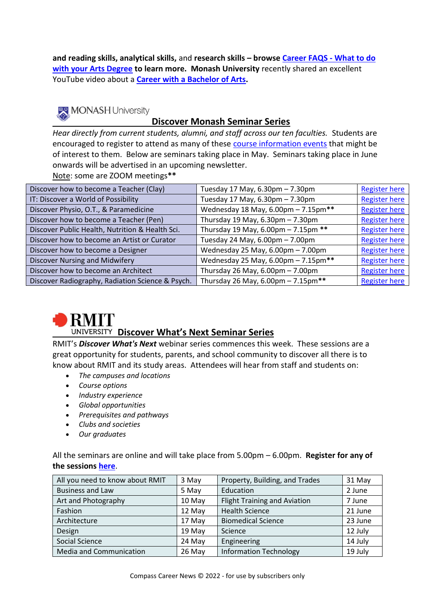**and reading skills, analytical skills,** and **research skills – browse [Career FAQS -](http://www.careerfaqs.com.au/news/news-and-views/what-to-do-with-your-arts-degree/) What to do [with your Arts Degree](http://www.careerfaqs.com.au/news/news-and-views/what-to-do-with-your-arts-degree/) to learn more. Monash University** recently shared an excellent YouTube video about a **[Career with a Bachelor of Arts.](https://www.youtube.com/watch?v=73yYU8vFBIw&+feature=youtu.be)** 

### MONASH University

#### **Discover Monash Seminar Series**

*Hear directly from current students, alumni, and staff across our ten faculties.* Students are encouraged to register to attend as many of these [course information events](https://www.monash.edu/discover/events/course-information) that might be of interest to them. Below are seminars taking place in May. Seminars taking place in June onwards will be advertised in an upcoming newsletter. Note: some are ZOOM meetings**\*\***

| Discover how to become a Teacher (Clay)          | Tuesday 17 May, 6.30pm - 7.30pm                    | <b>Register here</b> |
|--------------------------------------------------|----------------------------------------------------|----------------------|
| IT: Discover a World of Possibility              | Tuesday 17 May, 6.30pm - 7.30pm                    | <b>Register here</b> |
| Discover Physio, O.T., & Paramedicine            | Wednesday 18 May, 6.00pm - 7.15pm**                | <b>Register here</b> |
| Discover how to become a Teacher (Pen)           | Thursday 19 May, $6.30 \text{pm} - 7.30 \text{pm}$ | <b>Register here</b> |
| Discover Public Health, Nutrition & Health Sci.  | Thursday 19 May, 6.00pm - 7.15pm **                | <b>Register here</b> |
| Discover how to become an Artist or Curator      | Tuesday 24 May, 6.00pm - 7.00pm                    | <b>Register here</b> |
| Discover how to become a Designer                | Wednesday 25 May, 6.00pm - 7.00pm                  | <b>Register here</b> |
| Discover Nursing and Midwifery                   | Wednesday 25 May, 6.00pm - 7.15pm**                | <b>Register here</b> |
| Discover how to become an Architect              | Thursday 26 May, $6.00 \text{pm} - 7.00 \text{pm}$ | <b>Register here</b> |
| Discover Radiography, Radiation Science & Psych. | Thursday 26 May, 6.00pm - 7.15pm**                 | <b>Register here</b> |



#### **Discover What's Next Seminar Series**

RMIT's *Discover What's Next* webinar series commences this week. These sessions are a great opportunity for students, parents, and school community to discover all there is to know about RMIT and its study areas. Attendees will hear from staff and students on:

- *The campuses and locations*
- *Course options*
- *Industry experience*
- *Global opportunities*
- *Prerequisites and pathways*
- *Clubs and societies*
- *Our graduates*

All the seminars are online and will take place from 5.00pm – 6.00pm. **Register for any of the sessions [here](https://www.rmit.edu.au/events/2022/may/all-you-need-to-know?mkt_tok=MjA0LUJYSy0wOTAAAAGEBvfI_3zv1mCHypWZIMhseo_3OCXsf-0TLXfZT7DSoDYC8vIKkGi4O-irYVfggoA_-inPKpq70oM7ZGlafc9hXbAPNPc8RYTjUNDFecRR-bXa)**.

| All you need to know about RMIT | 3 May  | Property, Building, and Trades      | 31 May  |
|---------------------------------|--------|-------------------------------------|---------|
| <b>Business and Law</b>         | 5 May  | Education                           | 2 June  |
| Art and Photography             | 10 May | <b>Flight Training and Aviation</b> | 7 June  |
| Fashion                         | 12 May | <b>Health Science</b>               | 21 June |
| Architecture                    | 17 May | <b>Biomedical Science</b>           | 23 June |
| Design                          | 19 May | Science                             | 12 July |
| Social Science                  | 24 May | Engineering                         | 14 July |
| Media and Communication         | 26 May | <b>Information Technology</b>       | 19 July |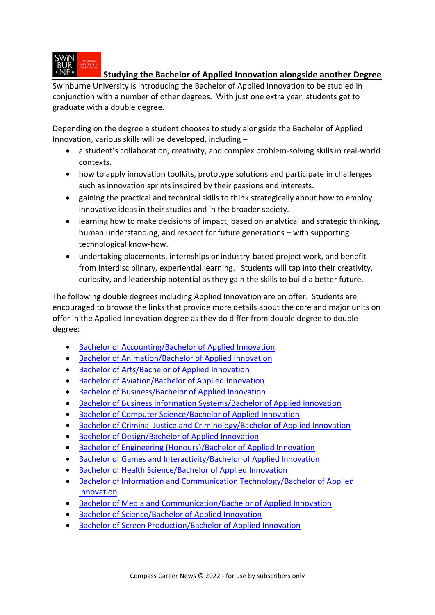

#### **Studying the Bachelor of Applied Innovation alongside another Degree**

Swinburne University is introducing the Bachelor of Applied Innovation to be studied in conjunction with a number of other degrees. With just one extra year, students get to graduate with a double degree.

Depending on the degree a student chooses to study alongside the Bachelor of Applied Innovation, various skills will be developed, including –

- a student's collaboration, creativity, and complex problem-solving skills in real-world contexts.
- how to apply innovation toolkits, prototype solutions and participate in challenges such as innovation sprints inspired by their passions and interests.
- gaining the practical and technical skills to think strategically about how to employ innovative ideas in their studies and in the broader society.
- learning how to make decisions of impact, based on analytical and strategic thinking, human understanding, and respect for future generations – with supporting technological know-how.
- undertaking placements, internships or industry-based project work, and benefit from interdisciplinary, experiential learning. Students will tap into their creativity, curiosity, and leadership potential as they gain the skills to build a better future.

The following double degrees including Applied Innovation are on offer. Students are encouraged to browse the links that provide more details about the core and major units on offer in the Applied Innovation degree as they do differ from double degree to double degree:

- [Bachelor of Accounting/Bachelor of Applied Innovation](https://www.swinburne.edu.au/study/course/bachelor-of-accounting-bachelor-of-applied-innovation/)
- [Bachelor of Animation/Bachelor of Applied Innovation](https://www.swinburne.edu.au/study/course/bachelor-of-animation-bachelor-of-applied-innovation/)
- [Bachelor of Arts/Bachelor of Applied Innovation](https://www.swinburne.edu.au/study/course/bachelor-of-arts-bachelor-of-applied-innovation/)
- [Bachelor of Aviation/Bachelor of Applied Innovation](https://www.swinburne.edu.au/study/course/bachelor-of-aviation-management-bachelor-of-applied-innovation/)
- [Bachelor of Business/Bachelor of Applied Innovation](https://www.swinburne.edu.au/study/course/bachelor-of-business-bachelor-of-applied-innovation/)
- [Bachelor of Business Information Systems/Bachelor of Applied Innovation](https://www.swinburne.edu.au/study/course/bachelor-of-business-information-systems-bachelor-of-applied-innovation/)
- [Bachelor of Computer Science/Bachelor of Applied Innovation](https://www.swinburne.edu.au/study/course/bachelor-of-computer-science-bachelor-of-applied-innovation/)
- [Bachelor of Criminal Justice and Criminology/Bachelor of Applied Innovation](https://www.swinburne.edu.au/study/course/bachelor-of-criminal-justice-and-criminology-bachelor-of-applied-innovation/)
- [Bachelor of Design/Bachelor of Applied Innovation](https://www.swinburne.edu.au/study/course/bachelor-of-design-bachelor-of-applied-innovation/)
- [Bachelor of Engineering \(Honours\)/Bachelor of Applied Innovation](https://www.swinburne.edu.au/study/course/bachelor-of-engineering-honours-bachelor-of-applied-innovation/)
- [Bachelor of Games and Interactivity/Bachelor of Applied Innovation](https://www.swinburne.edu.au/study/course/bachelor-of-games-and-interactivity-bachelor-of-applied-innovation/)
- [Bachelor of Health Science/Bachelor of Applied Innovation](https://www.swinburne.edu.au/study/course/bachelor-of-health-science-bachelor-of-applied-innovation/)
- [Bachelor of Information and Communication Technology/Bachelor of Applied](https://www.swinburne.edu.au/study/course/bachelor-of-information-and-communication-technology-bachelor-of-applied-innovation/)  [Innovation](https://www.swinburne.edu.au/study/course/bachelor-of-information-and-communication-technology-bachelor-of-applied-innovation/)
- [Bachelor of Media and Communication/Bachelor of Applied Innovation](https://www.swinburne.edu.au/study/course/bachelor-of-media-and-communication-bachelor-of-applied-innovation/)
- [Bachelor of Science/Bachelor of Applied Innovation](https://www.swinburne.edu.au/study/course/bachelor-of-science-bachelor-of-applied-innovation/)
- [Bachelor of Screen Production/Bachelor of Applied Innovation](https://www.swinburne.edu.au/study/course/bachelor-of-screen-production-bachelor-of-applied-innovation/)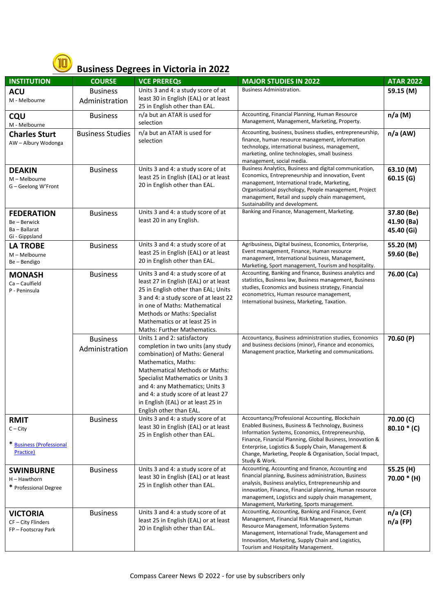

#### **Business Degrees in Victoria in 2022**

| <b>INSTITUTION</b>                                                 | <b>COURSE</b>                     | <b>VCE PREREQS</b>                                                                                                                                                                                                                                                                                                                                  | <b>MAJOR STUDIES IN 2022</b>                                                                                                                                                                                                                                                                                                                               | <b>ATAR 2022</b>                       |
|--------------------------------------------------------------------|-----------------------------------|-----------------------------------------------------------------------------------------------------------------------------------------------------------------------------------------------------------------------------------------------------------------------------------------------------------------------------------------------------|------------------------------------------------------------------------------------------------------------------------------------------------------------------------------------------------------------------------------------------------------------------------------------------------------------------------------------------------------------|----------------------------------------|
| <b>ACU</b>                                                         | <b>Business</b>                   | Units 3 and 4: a study score of at                                                                                                                                                                                                                                                                                                                  | <b>Business Administration.</b>                                                                                                                                                                                                                                                                                                                            | 59.15 (M)                              |
| M - Melbourne                                                      | Administration                    | least 30 in English (EAL) or at least<br>25 in English other than EAL.                                                                                                                                                                                                                                                                              |                                                                                                                                                                                                                                                                                                                                                            |                                        |
| CQU<br>M - Melbourne                                               | <b>Business</b>                   | n/a but an ATAR is used for<br>selection                                                                                                                                                                                                                                                                                                            | Accounting, Financial Planning, Human Resource<br>Management, Management, Marketing, Property.                                                                                                                                                                                                                                                             | $n/a$ (M)                              |
| <b>Charles Sturt</b><br>AW - Albury Wodonga                        | <b>Business Studies</b>           | n/a but an ATAR is used for<br>selection                                                                                                                                                                                                                                                                                                            | Accounting, business, business studies, entrepreneurship,<br>finance, human resource management, information<br>technology, international business, management,<br>marketing, online technologies, small business<br>management, social media.                                                                                                             | $n/a$ (AW)                             |
| <b>DEAKIN</b><br>M - Melbourne<br>G – Geelong W'Front              | <b>Business</b>                   | Units 3 and 4: a study score of at<br>least 25 in English (EAL) or at least<br>20 in English other than EAL.                                                                                                                                                                                                                                        | Business Analytics, Business and digital communication,<br>Economics, Entrepreneurship and innovation, Event<br>management, International trade, Marketing,<br>Organisational psychology, People management, Project<br>management, Retail and supply chain management,<br>Sustainability and development.                                                 | 63.10(M)<br>60.15(G)                   |
| <b>FEDERATION</b><br>Be-Berwick<br>Ba-Ballarat<br>Gi - Gippsland   | <b>Business</b>                   | Units 3 and 4: a study score of at<br>least 20 in any English.                                                                                                                                                                                                                                                                                      | Banking and Finance, Management, Marketing.                                                                                                                                                                                                                                                                                                                | 37.80 (Be)<br>41.90 (Ba)<br>45.40 (Gi) |
| <b>LA TROBE</b><br>M - Melbourne<br>Be-Bendigo                     | <b>Business</b>                   | Units 3 and 4: a study score of at<br>least 25 in English (EAL) or at least<br>20 in English other than EAL.                                                                                                                                                                                                                                        | Agribusiness, Digital business, Economics, Enterprise,<br>Event management, Finance, Human resource<br>management, International business, Management,<br>Marketing, Sport management, Tourism and hospitality.                                                                                                                                            | 55.20 (M)<br>59.60 (Be)                |
| <b>MONASH</b><br>Ca - Caulfield<br>P - Peninsula                   | <b>Business</b>                   | Units 3 and 4: a study score of at<br>least 27 in English (EAL) or at least<br>25 in English other than EAL; Units<br>3 and 4: a study score of at least 22<br>in one of Maths: Mathematical<br><b>Methods or Maths: Specialist</b><br>Mathematics or at least 25 in<br>Maths: Further Mathematics.                                                 | Accounting, Banking and finance, Business analytics and<br>statistics, Business law, Business management, Business<br>studies, Economics and business strategy, Financial<br>econometrics, Human resource management,<br>International business, Marketing, Taxation.                                                                                      | 76.00 (Ca)                             |
|                                                                    | <b>Business</b><br>Administration | Units 1 and 2: satisfactory<br>completion in two units (any study<br>combination) of Maths: General<br>Mathematics, Maths:<br><b>Mathematical Methods or Maths:</b><br>Specialist Mathematics or Units 3<br>and 4: any Mathematics; Units 3<br>and 4: a study score of at least 27<br>in English (EAL) or at least 25 in<br>English other than EAL. | Accountancy, Business administration studies, Economics<br>and business decisions (minor), Finance and economics,<br>Management practice, Marketing and communications.                                                                                                                                                                                    | 70.60 (P)                              |
| <b>RMIT</b><br>$C - City$<br>* Business (Professional<br>Practice) | <b>Business</b>                   | Units 3 and 4: a study score of at<br>least 30 in English (EAL) or at least<br>25 in English other than EAL.                                                                                                                                                                                                                                        | Accountancy/Professional Accounting, Blockchain<br>Enabled Business, Business & Technology, Business<br>Information Systems, Economics, Entrepreneurship,<br>Finance, Financial Planning, Global Business, Innovation &<br>Enterprise, Logistics & Supply Chain, Management &<br>Change, Marketing, People & Organisation, Social Impact,<br>Study & Work. | 70.00 (C)<br>$80.10 * (C)$             |
| <b>SWINBURNE</b><br>H-Hawthorn<br>* Professional Degree            | <b>Business</b>                   | Units 3 and 4: a study score of at<br>least 30 in English (EAL) or at least<br>25 in English other than EAL.                                                                                                                                                                                                                                        | Accounting, Accounting and finance, Accounting and<br>financial planning, Business administration, Business<br>analysis, Business analytics, Entrepreneurship and<br>innovation, Finance, Financial planning, Human resource<br>management, Logistics and supply chain management,<br>Management, Marketing, Sports management.                            | 55.25 (H)<br>70.00 * (H)               |
| <b>VICTORIA</b><br>CF - City Flinders<br>FP-Footscray Park         | <b>Business</b>                   | Units 3 and 4: a study score of at<br>least 25 in English (EAL) or at least<br>20 in English other than EAL.                                                                                                                                                                                                                                        | Accounting, Accounting, Banking and Finance, Event<br>Management, Financial Risk Management, Human<br>Resource Management, Information Systems<br>Management, International Trade, Management and<br>Innovation, Marketing, Supply Chain and Logistics,<br>Tourism and Hospitality Management.                                                             | $n/a$ (CF)<br>$n/a$ (FP)               |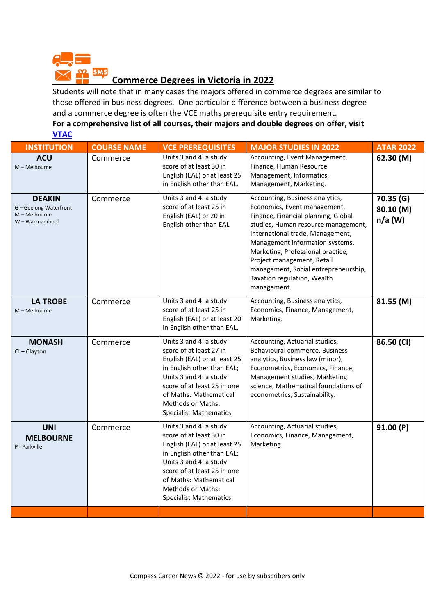

# **EMS Commerce Degrees in Victoria in 2022**

Students will note that in many cases the majors offered in commerce degrees are similar to those offered in business degrees. One particular difference between a business degree and a commerce degree is often the VCE maths prerequisite entry requirement.

#### **For a comprehensive list of all courses, their majors and double degrees on offer, visit [VTAC](http://www.vtac.edu.au/)**

| <b>INSTITUTION</b>                                                          | <b>COURSE NAME</b> | <b>VCE PREREQUISITES</b>                                                                                                                                                                                                                                  | <b>MAJOR STUDIES IN 2022</b>                                                                                                                                                                                                                                                                                                                                                  | <b>ATAR 2022</b>                   |
|-----------------------------------------------------------------------------|--------------------|-----------------------------------------------------------------------------------------------------------------------------------------------------------------------------------------------------------------------------------------------------------|-------------------------------------------------------------------------------------------------------------------------------------------------------------------------------------------------------------------------------------------------------------------------------------------------------------------------------------------------------------------------------|------------------------------------|
| <b>ACU</b><br>M - Melbourne                                                 | Commerce           | Units 3 and 4: a study<br>score of at least 30 in<br>English (EAL) or at least 25<br>in English other than EAL.                                                                                                                                           | Accounting, Event Management,<br>Finance, Human Resource<br>Management, Informatics,<br>Management, Marketing.                                                                                                                                                                                                                                                                | 62.30 (M)                          |
| <b>DEAKIN</b><br>G - Geelong Waterfront<br>M - Melbourne<br>W - Warrnambool | Commerce           | Units 3 and 4: a study<br>score of at least 25 in<br>English (EAL) or 20 in<br>English other than EAL                                                                                                                                                     | Accounting, Business analytics,<br>Economics, Event management,<br>Finance, Financial planning, Global<br>studies, Human resource management,<br>International trade, Management,<br>Management information systems,<br>Marketing, Professional practice,<br>Project management, Retail<br>management, Social entrepreneurship,<br>Taxation regulation, Wealth<br>management. | 70.35(G)<br>80.10 (M)<br>$n/a$ (W) |
| <b>LA TROBE</b><br>$M - Melbourne$                                          | Commerce           | Units 3 and 4: a study<br>score of at least 25 in<br>English (EAL) or at least 20<br>in English other than EAL.                                                                                                                                           | Accounting, Business analytics,<br>Economics, Finance, Management,<br>Marketing.                                                                                                                                                                                                                                                                                              | 81.55 (M)                          |
| <b>MONASH</b><br>$Cl - Clayton$                                             | Commerce           | Units 3 and 4: a study<br>score of at least 27 in<br>English (EAL) or at least 25<br>in English other than EAL;<br>Units 3 and 4: a study<br>score of at least 25 in one<br>of Maths: Mathematical<br><b>Methods or Maths:</b><br>Specialist Mathematics. | Accounting, Actuarial studies,<br>Behavioural commerce, Business<br>analytics, Business law (minor),<br>Econometrics, Economics, Finance,<br>Management studies, Marketing<br>science, Mathematical foundations of<br>econometrics, Sustainability.                                                                                                                           | 86.50 (CI)                         |
| <b>UNI</b><br><b>MELBOURNE</b><br>P - Parkville                             | Commerce           | Units 3 and 4: a study<br>score of at least 30 in<br>English (EAL) or at least 25<br>in English other than EAL;<br>Units 3 and 4: a study<br>score of at least 25 in one<br>of Maths: Mathematical<br><b>Methods or Maths:</b><br>Specialist Mathematics. | Accounting, Actuarial studies,<br>Economics, Finance, Management,<br>Marketing.                                                                                                                                                                                                                                                                                               | 91.00 (P)                          |